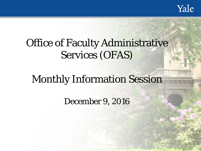Yale

# Office of Faculty Administrative Services (OFAS)

# Monthly Information Session

December 9, 2016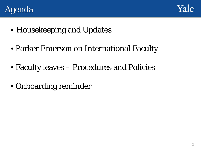



- Housekeeping and Updates
- Parker Emerson on International Faculty
- Faculty leaves Procedures and Policies
- Onboarding reminder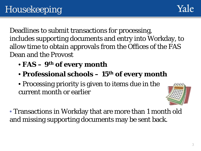Deadlines to submit transactions for processing, includes supporting documents and entry into Workday, to allow time to obtain approvals from the Offices of the FAS Dean and the Provost

- **FAS – 9th of every month**
- **Professional schools – 15th of every month**
- Processing priority is given to items due in the current month or earlier



• Transactions in Workday that are more than 1 month old and missing supporting documents may be sent back.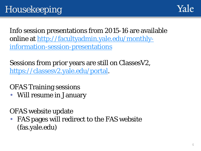

Info session presentations from 2015-16 are available [online at http://facultyadmin.yale.edu/monthly](http://facultyadmin.yale.edu/monthly-information-session-presentations)information-session-presentations

Sessions from prior years are still on ClassesV2, <https://classesv2.yale.edu/portal>.

OFAS Training sessions

• Will resume in January

OFAS website update

• FAS pages will redirect to the FAS website (fas.yale.edu)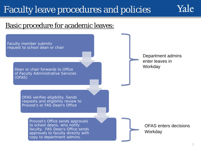### Basic procedure for academic leaves:

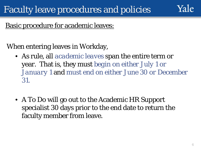

### Basic procedure for academic leaves:

When entering leaves in Workday,

- As rule, all *academic leaves* span the entire term or year. That is, they must *begin on either July 1 or January 1* and *must end on either June 30 or December 31.*
- A To Do will go out to the Academic HR Support specialist 30 days prior to the end date to return the faculty member from leave.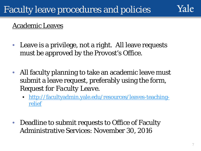- Leave is a privilege, not a right. All leave requests must be approved by the Provost's Office.
- All faculty planning to take an academic leave must submit a leave request, preferably using the form, *Request for Faculty Leave*.
	- [http://facultyadmin.yale.edu/resources/leaves-teaching](http://facultyadmin.yale.edu/resources/leaves-teaching-relief)relief
- Deadline to submit requests to Office of Faculty Administrative Services: November 30, 2016

 $\alpha$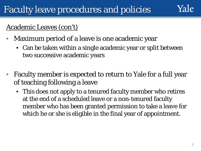## Yale

### Academic Leaves (con't)

- Maximum period of a leave is one academic year
	- Can be taken within a single academic year or split between two successive academic years
- Faculty member is expected to return to Yale for a full year of teaching following a leave
	- This does not apply to a tenured faculty member who retires at the end of a scheduled leave or a non-tenured faculty member who has been granted permission to take a leave for which he or she is eligible in the final year of appointment.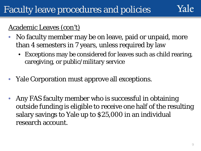#### Academic Leaves (con't)

- No faculty member may be on leave, paid or unpaid, more than 4 semesters in 7 years, unless required by law
	- Exceptions may be considered for leaves such as child rearing, caregiving, or public/military service
- Yale Corporation must approve all exceptions.
- Any FAS faculty member who is successful in obtaining outside funding is eligible to receive one half of the resulting salary savings to Yale up to \$25,000 in an individual research account.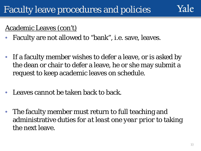#### Academic Leaves (con't)

- Faculty are not allowed to "bank", i.e. save, leaves.
- If a faculty member wishes to defer a leave, or is asked by the dean or chair to defer a leave, he or she may submit a request to keep academic leaves on schedule.
- Leaves cannot be taken back to back.
- The faculty member must return to full teaching and administrative duties *for at least one year prior* to taking the next leave.

 $\alpha$ |e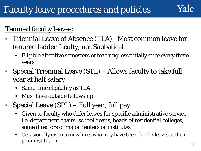Tenured faculty leaves:

- Triennial Leave of Absence (TLA) Most common leave for tenured ladder faculty, not Sabbatical
	- Eligible after five semesters of teaching, essentially once every three years
- Special Triennial Leave (STL) Allows faculty to take full year at half salary
	- Same time eligibility as TLA
	- Must have outside fellowship
- Special Leave (SPL) Full year, full pay
	- Given to faculty who defer leaves for specific administrative service, i.e. department chairs, school deans, heads of residential colleges, some directors of major centers or institutes
	- Occasionally given to new hires who may have been due for leaves at their prior institution the contract of the contract of the contract of the contract of the contract of the contract of the contract of the contract of the contract of the contract of the contract of the contract of the contract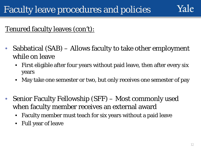## Yale

### Tenured faculty leaves (con't):

- Sabbatical (SAB) Allows faculty to take other employment while on leave
	- First eligible after four years without paid leave, then after every six years
	- May take one semester or two, but only receives one semester of pay
- Senior Faculty Fellowship (SFF) Most commonly used when faculty member receives an external award
	- Faculty member must teach for six years without a paid leave
	- Full year of leave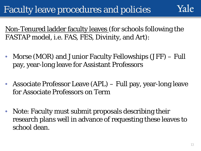Non-Tenured ladder faculty leaves (for schools following the FASTAP model, i.e. FAS, FES, Divinity, and Art):

- Morse (MOR) and Junior Faculty Fellowships (JFF) Full pay, year-long leave for Assistant Professors
- Associate Professor Leave (APL) Full pay, year-long leave for Associate Professors on Term
- Note: Faculty must submit proposals describing their research plans well in advance of requesting these leaves to school dean.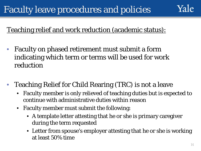### Teaching relief and work reduction (academic status):

- Faculty on phased retirement must submit a form indicating which term or terms will be used for work reduction
- Teaching Relief for Child Rearing (TRC) is not a leave
	- Faculty member is only relieved of teaching duties but is expected to continue with administrative duties within reason
	- Faculty member must submit the following:
		- A template letter attesting that he or she is primary caregiver during the term requested
		- Letter from spouse's employer attesting that he or she is working at least 50% time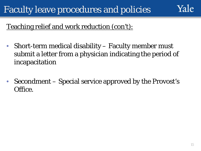

### Teaching relief and work reduction (con't):

- Short-term medical disability Faculty member must submit a letter from a physician indicating the period of incapacitation
- Secondment Special service approved by the Provost's Office.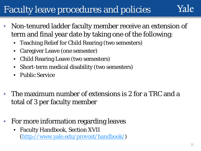- Non-tenured ladder faculty member receive an extension of term and final year date by taking one of the following:
	- Teaching Relief for Child Rearing (two semesters)
	- Caregiver Leave (one semester)
	- Child Rearing Leave (two semesters)
	- Short-term medical disability (two semesters)
	- Public Service
- The maximum number of extensions is 2 for a TRC and a total of 3 per faculty member
- For more information regarding leaves
	- Faculty Handbook, Section XVII [\(http://www.yale.edu/provost/handbook/](http://www.yale.edu/provost/handbook/))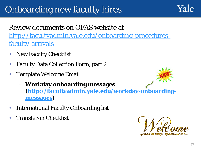# Onboarding new faculty hires

### Review documents on OFAS website at [http://facultyadmin.yale.edu/onboarding-procedures](http://facultyadmin.yale.edu/onboarding-procedures-faculty-arrivals)faculty-arrivals

- **New Faculty Checklist**
- Faculty Data Collection Form, part 2
- Template Welcome Email
	- **Workday onboarding messages [\(http://facultyadmin.yale.edu/workday-onboarding](http://facultyadmin.yale.edu/workday-onboarding-messages)messages)**
- International Faculty Onboarding list
- Transfer-in Checklist